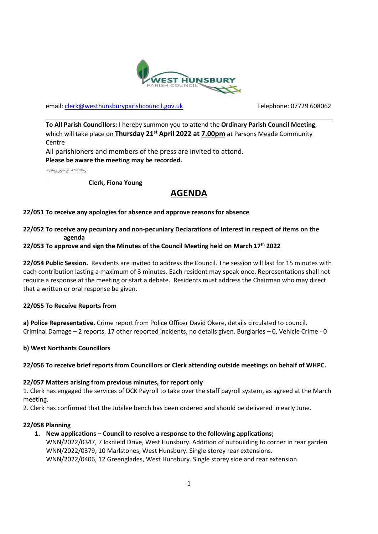

email: [clerk@westhunsburyparishcouncil.gov.uk](mailto:clerk@westhunsburyparishcouncil.gov.uk) Telephone: 07729 608062

**To All Parish Councillors:** I hereby summon you to attend the **Ordinary Parish Council Meeting**, which will take place on **Thursday 21st April 2022 at 7.00pm** at Parsons Meade Community **Centre** 

All parishioners and members of the press are invited to attend. **Please be aware the meeting may be recorded.**

**SECTION** 

**Clerk, Fiona Young**

# **AGENDA**

## **22/051 To receive any apologies for absence and approve reasons for absence**

## **22/052 To receive any pecuniary and non-pecuniary Declarations of Interest in respect of items on the agenda**

## **22/053 To approve and sign the Minutes of the Council Meeting held on March 17th 2022**

**22/054 Public Session.** Residents are invited to address the Council. The session will last for 15 minutes with each contribution lasting a maximum of 3 minutes. Each resident may speak once. Representations shall not require a response at the meeting or start a debate. Residents must address the Chairman who may direct that a written or oral response be given.

#### **22/055 To Receive Reports from**

**a) Police Representative.** Crime report from Police Officer David Okere, details circulated to council. Criminal Damage – 2 reports. 17 other reported incidents, no details given. Burglaries – 0, Vehicle Crime - 0

**b) West Northants Councillors**

# **22/056 To receive brief reports from Councillors or Clerk attending outside meetings on behalf of WHPC.**

#### **22/057 Matters arising from previous minutes, for report only**

1. Clerk has engaged the services of DCK Payroll to take over the staff payroll system, as agreed at the March meeting.

2. Clerk has confirmed that the Jubilee bench has been ordered and should be delivered in early June.

#### **22/058 Planning**

**1. New applications – Council to resolve a response to the following applications;**

WNN/2022/0347, 7 Icknield Drive, West Hunsbury. Addition of outbuilding to corner in rear garden WNN/2022/0379, 10 Marlstones, West Hunsbury. Single storey rear extensions. WNN/2022/0406, 12 Greenglades, West Hunsbury. Single storey side and rear extension.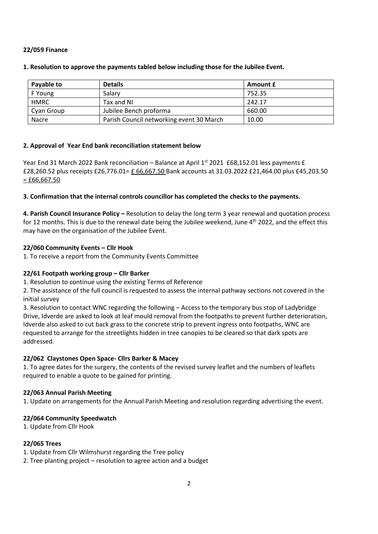## **22/059 Finance**

| Payable to  | <b>Details</b>                           | <b>Amount £</b> |
|-------------|------------------------------------------|-----------------|
| F Young     | Salary                                   | 752.35          |
| <b>HMRC</b> | Tax and NI                               | 242.17          |
| Cyan Group  | Jubilee Bench proforma                   | 660.00          |
| Nacre       | Parish Council networking event 30 March | 10.00           |

## **1. Resolution to approve the payments tabled below including those for the Jubilee Event.**

## **2. Approval of Year End bank reconciliation statement below**

Year End 31 March 2022 Bank reconciliation – Balance at April  $1^{st}$  2021 £68,152.01 less payments £ £28,260.52 plus receipts £26,776.01= £ 66,667.50 Bank accounts at 31.03.2022 £21,464.00 plus £45,203.50  $=$  £66,667.50

## **3. Confirmation that the internal controls councillor has completed the checks to the payments.**

**4. Parish Council Insurance Policy –** Resolution to delay the long term 3 year renewal and quotation process for 12 months. This is due to the renewal date being the Jubilee weekend, June 4<sup>th</sup> 2022, and the effect this may have on the organisation of the Jubilee Event.

## **22/060 Community Events – Cllr Hook**

1. To receive a report from the Community Events Committee

#### **22/61 Footpath working group – Cllr Barker**

1. Resolution to continue using the existing Terms of Reference

2. The assistance of the full council is requested to assess the internal pathway sections not covered in the initial survey

3. Resolution to contact WNC regarding the following – Access to the temporary bus stop of Ladybridge Drive, Idverde are asked to look at leaf mould removal from the footpaths to prevent further deterioration, Idverde also asked to cut back grass to the concrete strip to prevent ingress onto footpaths, WNC are requested to arrange for the streetlights hidden in tree canopies to be cleared so that dark spots are addressed.

#### **22/062 Claystones Open Space- Cllrs Barker & Macey**

1. To agree dates for the surgery, the contents of the revised survey leaflet and the numbers of leaflets required to enable a quote to be gained for printing.

#### **22/063 Annual Parish Meeting**

1. Update on arrangements for the Annual Parish Meeting and resolution regarding advertising the event.

# **22/064 Community Speedwatch**

1. Update from Cllr Hook

# **22/065 Trees**

1. Update from Cllr Wilmshurst regarding the Tree policy

2. Tree planting project – resolution to agree action and a budget